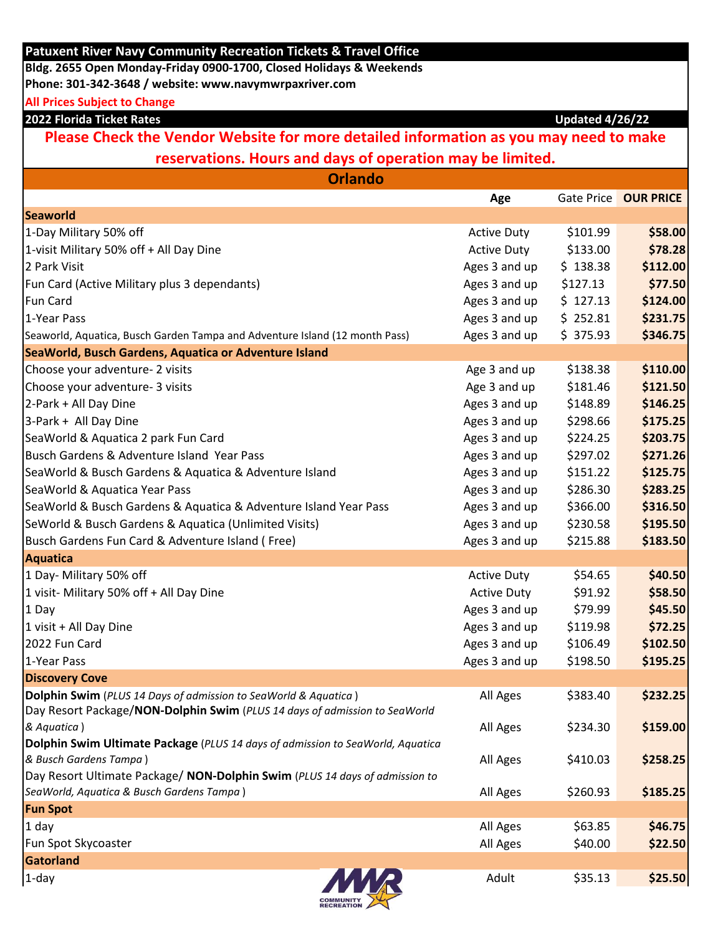| <b>Patuxent River Navy Community Recreation Tickets &amp; Travel Office</b>           |                    |          |                      |  |  |  |
|---------------------------------------------------------------------------------------|--------------------|----------|----------------------|--|--|--|
| Bldg. 2655 Open Monday-Friday 0900-1700, Closed Holidays & Weekends                   |                    |          |                      |  |  |  |
| Phone: 301-342-3648 / website: www.navymwrpaxriver.com                                |                    |          |                      |  |  |  |
| <b>All Prices Subject to Change</b>                                                   |                    |          |                      |  |  |  |
| 2022 Florida Ticket Rates<br><b>Updated 4/26/22</b>                                   |                    |          |                      |  |  |  |
| Please Check the Vendor Website for more detailed information as you may need to make |                    |          |                      |  |  |  |
| reservations. Hours and days of operation may be limited.                             |                    |          |                      |  |  |  |
| <b>Orlando</b>                                                                        |                    |          |                      |  |  |  |
|                                                                                       | Age                |          | Gate Price OUR PRICE |  |  |  |
| <b>Seaworld</b>                                                                       |                    |          |                      |  |  |  |
| 1-Day Military 50% off                                                                | <b>Active Duty</b> | \$101.99 | \$58.00              |  |  |  |
| 1-visit Military 50% off + All Day Dine                                               | <b>Active Duty</b> | \$133.00 | \$78.28              |  |  |  |
| 2 Park Visit                                                                          | Ages 3 and up      | \$138.38 | \$112.00             |  |  |  |
| Fun Card (Active Military plus 3 dependants)                                          | Ages 3 and up      | \$127.13 | \$77.50              |  |  |  |
| <b>Fun Card</b>                                                                       | Ages 3 and up      | \$127.13 | \$124.00             |  |  |  |
| 1-Year Pass                                                                           | Ages 3 and up      | \$252.81 | \$231.75             |  |  |  |
| Seaworld, Aquatica, Busch Garden Tampa and Adventure Island (12 month Pass)           | Ages 3 and up      | \$375.93 | \$346.75             |  |  |  |
| SeaWorld, Busch Gardens, Aquatica or Adventure Island                                 |                    |          |                      |  |  |  |
| Choose your adventure- 2 visits                                                       | Age 3 and up       | \$138.38 | \$110.00             |  |  |  |
| Choose your adventure- 3 visits                                                       | Age 3 and up       | \$181.46 | \$121.50             |  |  |  |
| 2-Park + All Day Dine                                                                 | Ages 3 and up      | \$148.89 | \$146.25             |  |  |  |
| 3-Park + All Day Dine                                                                 | Ages 3 and up      | \$298.66 | \$175.25             |  |  |  |
| SeaWorld & Aquatica 2 park Fun Card                                                   | Ages 3 and up      | \$224.25 | \$203.75             |  |  |  |
| Busch Gardens & Adventure Island Year Pass                                            | Ages 3 and up      | \$297.02 | \$271.26             |  |  |  |
| SeaWorld & Busch Gardens & Aquatica & Adventure Island                                | Ages 3 and up      | \$151.22 | \$125.75             |  |  |  |
| SeaWorld & Aquatica Year Pass                                                         | Ages 3 and up      | \$286.30 | \$283.25             |  |  |  |
| SeaWorld & Busch Gardens & Aquatica & Adventure Island Year Pass                      | Ages 3 and up      | \$366.00 | \$316.50             |  |  |  |
| SeWorld & Busch Gardens & Aquatica (Unlimited Visits)                                 | Ages 3 and up      | \$230.58 | \$195.50             |  |  |  |
| Busch Gardens Fun Card & Adventure Island (Free)                                      | Ages 3 and up      | \$215.88 | \$183.50             |  |  |  |
| <b>Aquatica</b>                                                                       |                    |          |                      |  |  |  |
| 1 Day- Military 50% off                                                               | <b>Active Duty</b> | \$54.65  | \$40.50              |  |  |  |
| 1 visit- Military 50% off + All Day Dine                                              | <b>Active Duty</b> | \$91.92  | \$58.50              |  |  |  |
| 1 Day                                                                                 | Ages 3 and up      | \$79.99  | \$45.50              |  |  |  |
| 1 visit + All Day Dine                                                                | Ages 3 and up      | \$119.98 | \$72.25              |  |  |  |
| 2022 Fun Card                                                                         | Ages 3 and up      | \$106.49 | \$102.50             |  |  |  |
| 1-Year Pass                                                                           | Ages 3 and up      | \$198.50 | \$195.25             |  |  |  |
| <b>Discovery Cove</b>                                                                 |                    |          |                      |  |  |  |
| <b>Dolphin Swim</b> (PLUS 14 Days of admission to SeaWorld & Aquatica)                | All Ages           | \$383.40 | \$232.25             |  |  |  |
| Day Resort Package/NON-Dolphin Swim (PLUS 14 days of admission to SeaWorld            |                    |          |                      |  |  |  |
| & Aquatica)                                                                           | All Ages           | \$234.30 | \$159.00             |  |  |  |
| Dolphin Swim Ultimate Package (PLUS 14 days of admission to SeaWorld, Aquatica        |                    |          |                      |  |  |  |
| & Busch Gardens Tampa)                                                                | All Ages           | \$410.03 | \$258.25             |  |  |  |
| Day Resort Ultimate Package/ NON-Dolphin Swim (PLUS 14 days of admission to           |                    |          |                      |  |  |  |
| SeaWorld, Aquatica & Busch Gardens Tampa)                                             | All Ages           | \$260.93 | \$185.25             |  |  |  |
| <b>Fun Spot</b>                                                                       |                    |          |                      |  |  |  |
| $1$ day                                                                               | All Ages           | \$63.85  | \$46.75              |  |  |  |
| Fun Spot Skycoaster                                                                   | All Ages           | \$40.00  | \$22.50              |  |  |  |
| Gatorland                                                                             |                    |          |                      |  |  |  |
| <i>MMR</i><br>$1$ -day                                                                | Adult              | \$35.13  | \$25.50              |  |  |  |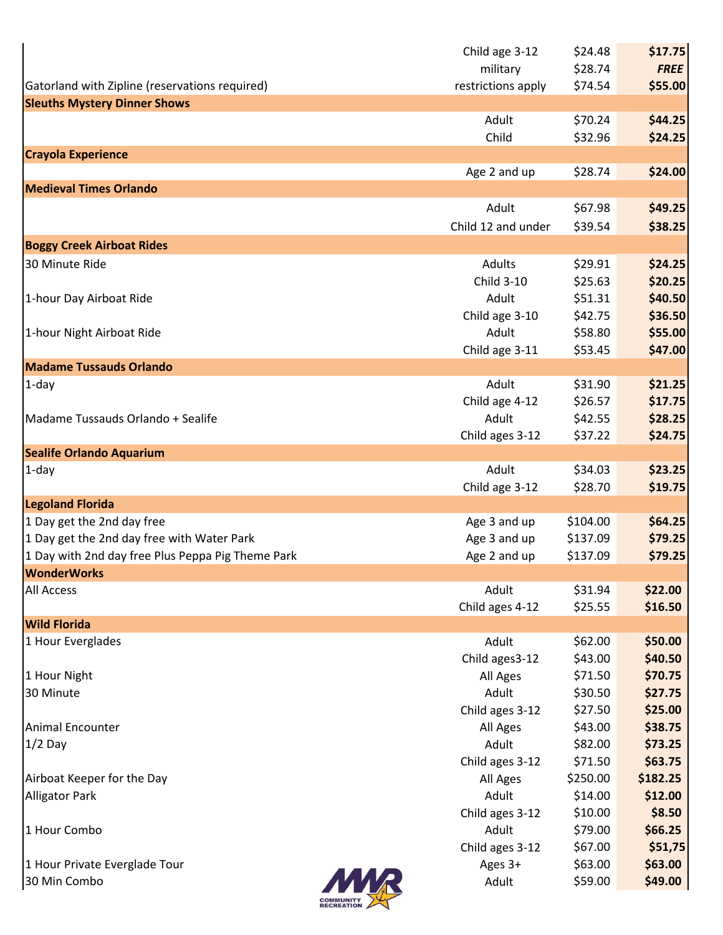|                                                   | Child age 3-12     | \$24.48  | \$17.75     |
|---------------------------------------------------|--------------------|----------|-------------|
|                                                   | military           | \$28.74  | <b>FREE</b> |
| Gatorland with Zipline (reservations required)    | restrictions apply | \$74.54  | \$55.00     |
| <b>Sleuths Mystery Dinner Shows</b>               |                    |          |             |
|                                                   | Adult              | \$70.24  | \$44.25     |
|                                                   | Child              | \$32.96  | \$24.25     |
| <b>Crayola Experience</b>                         |                    |          |             |
|                                                   | Age 2 and up       | \$28.74  | \$24.00     |
| <b>Medieval Times Orlando</b>                     |                    |          |             |
|                                                   | Adult              | \$67.98  | \$49.25     |
|                                                   | Child 12 and under | \$39.54  | \$38.25     |
| <b>Boggy Creek Airboat Rides</b>                  |                    |          |             |
| 30 Minute Ride                                    | Adults             | \$29.91  | \$24.25     |
|                                                   | Child 3-10         | \$25.63  | \$20.25     |
| 1-hour Day Airboat Ride                           | Adult              | \$51.31  | \$40.50     |
|                                                   | Child age 3-10     | \$42.75  | \$36.50     |
| 1-hour Night Airboat Ride                         | Adult              | \$58.80  | \$55.00     |
|                                                   | Child age 3-11     | \$53.45  | \$47.00     |
| <b>Madame Tussauds Orlando</b>                    |                    |          |             |
| $1$ -day                                          | Adult              | \$31.90  | \$21.25     |
|                                                   | Child age 4-12     | \$26.57  | \$17.75     |
| Madame Tussauds Orlando + Sealife                 | Adult              | \$42.55  | \$28.25     |
|                                                   | Child ages 3-12    | \$37.22  | \$24.75     |
| <b>Sealife Orlando Aquarium</b>                   |                    |          |             |
| $1$ -day                                          | Adult              | \$34.03  | \$23.25     |
| <b>Legoland Florida</b>                           | Child age 3-12     | \$28.70  | \$19.75     |
| 1 Day get the 2nd day free                        | Age 3 and up       | \$104.00 | \$64.25     |
| 1 Day get the 2nd day free with Water Park        | Age 3 and up       | \$137.09 | \$79.25     |
| 1 Day with 2nd day free Plus Peppa Pig Theme Park | Age 2 and up       | \$137.09 | \$79.25     |
| <b>WonderWorks</b>                                |                    |          |             |
| <b>All Access</b>                                 | Adult              | \$31.94  | \$22.00     |
|                                                   | Child ages 4-12    | \$25.55  | \$16.50     |
| <b>Wild Florida</b>                               |                    |          |             |
| 1 Hour Everglades                                 | Adult              | \$62.00  | \$50.00     |
|                                                   | Child ages 3-12    | \$43.00  | \$40.50     |
| 1 Hour Night                                      | All Ages           | \$71.50  | \$70.75     |
| 30 Minute                                         | Adult              | \$30.50  | \$27.75     |
|                                                   | Child ages 3-12    | \$27.50  | \$25.00     |
| <b>Animal Encounter</b>                           | All Ages           | \$43.00  | \$38.75     |
| $1/2$ Day                                         | Adult              | \$82.00  | \$73.25     |
|                                                   | Child ages 3-12    | \$71.50  | \$63.75     |
| Airboat Keeper for the Day                        | All Ages           | \$250.00 | \$182.25    |
| <b>Alligator Park</b>                             | Adult              | \$14.00  | \$12.00     |
|                                                   | Child ages 3-12    | \$10.00  | \$8.50      |
| 1 Hour Combo                                      | Adult              | \$79.00  | \$66.25     |
|                                                   | Child ages 3-12    | \$67.00  | \$51,75     |
| 1 Hour Private Everglade Tour                     | Ages 3+            | \$63.00  | \$63.00     |
| 30 Min Combo                                      | Adult              | \$59.00  | \$49.00     |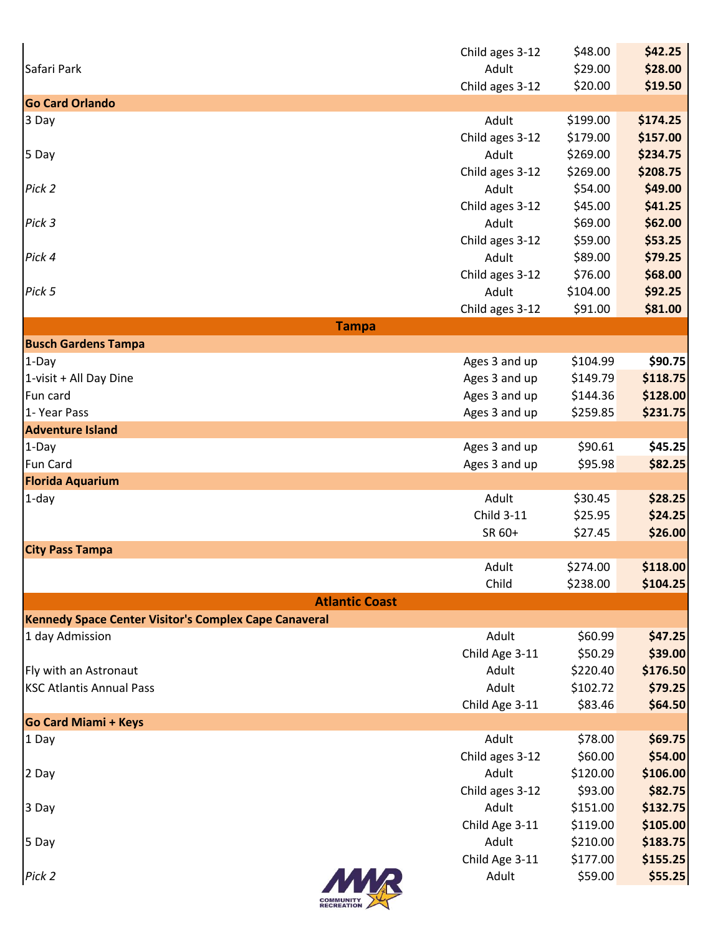|                                                                                | Child ages 3-12                | \$48.00              | \$42.25              |
|--------------------------------------------------------------------------------|--------------------------------|----------------------|----------------------|
| Safari Park                                                                    | Adult                          | \$29.00              | \$28.00              |
|                                                                                | Child ages 3-12                | \$20.00              | \$19.50              |
| <b>Go Card Orlando</b>                                                         |                                |                      |                      |
| 3 Day                                                                          | Adult<br>Child ages 3-12       | \$199.00<br>\$179.00 | \$174.25<br>\$157.00 |
| 5 Day                                                                          | Adult                          | \$269.00             | \$234.75             |
|                                                                                | Child ages 3-12                | \$269.00             | \$208.75             |
| Pick 2                                                                         | Adult                          | \$54.00              | \$49.00              |
|                                                                                | Child ages 3-12                | \$45.00              | \$41.25              |
| Pick 3                                                                         | Adult                          | \$69.00              | \$62.00              |
|                                                                                | Child ages 3-12                | \$59.00              | \$53.25              |
| Pick 4                                                                         | Adult                          | \$89.00              | \$79.25              |
|                                                                                | Child ages 3-12                | \$76.00              | \$68.00              |
| Pick 5                                                                         | Adult                          | \$104.00             | \$92.25              |
|                                                                                | Child ages 3-12                | \$91.00              | \$81.00              |
| <b>Tampa</b>                                                                   |                                |                      |                      |
| <b>Busch Gardens Tampa</b>                                                     |                                |                      |                      |
| $1-Day$                                                                        | Ages 3 and up                  | \$104.99             | \$90.75              |
| 1-visit + All Day Dine<br>Fun card                                             | Ages 3 and up<br>Ages 3 and up | \$149.79<br>\$144.36 | \$118.75<br>\$128.00 |
| 1- Year Pass                                                                   | Ages 3 and up                  | \$259.85             | \$231.75             |
| <b>Adventure Island</b>                                                        |                                |                      |                      |
| $1-Day$                                                                        | Ages 3 and up                  | \$90.61              | \$45.25              |
| <b>Fun Card</b>                                                                | Ages 3 and up                  | \$95.98              | \$82.25              |
| <b>Florida Aquarium</b>                                                        |                                |                      |                      |
| $1$ -day                                                                       | Adult                          | \$30.45              | \$28.25              |
|                                                                                | Child 3-11                     | \$25.95              | \$24.25              |
|                                                                                | SR 60+                         | \$27.45              | \$26.00              |
| <b>City Pass Tampa</b>                                                         |                                |                      |                      |
|                                                                                | Adult                          | \$274.00             | \$118.00             |
|                                                                                | Child                          | \$238.00             | \$104.25             |
| <b>Atlantic Coast</b><br>Kennedy Space Center Visitor's Complex Cape Canaveral |                                |                      |                      |
| 1 day Admission                                                                | Adult                          | \$60.99              | \$47.25              |
|                                                                                | Child Age 3-11                 | \$50.29              | \$39.00              |
| Fly with an Astronaut                                                          | Adult                          | \$220.40             | \$176.50             |
| <b>KSC Atlantis Annual Pass</b>                                                | Adult                          | \$102.72             | \$79.25              |
|                                                                                | Child Age 3-11                 | \$83.46              | \$64.50              |
| <b>Go Card Miami + Keys</b>                                                    |                                |                      |                      |
| 1 Day                                                                          | Adult                          | \$78.00              | \$69.75              |
|                                                                                | Child ages 3-12                | \$60.00              | \$54.00              |
| 2 Day                                                                          | Adult                          | \$120.00             | \$106.00             |
|                                                                                | Child ages 3-12                | \$93.00              | \$82.75              |
| 3 Day                                                                          | Adult                          | \$151.00             | \$132.75             |
|                                                                                | Child Age 3-11                 | \$119.00             | \$105.00             |
| 5 Day                                                                          | Adult                          | \$210.00             | \$183.75             |
|                                                                                | Child Age 3-11                 | \$177.00             | \$155.25             |
| Pick 2                                                                         | Adult                          | \$59.00              | \$55.25              |